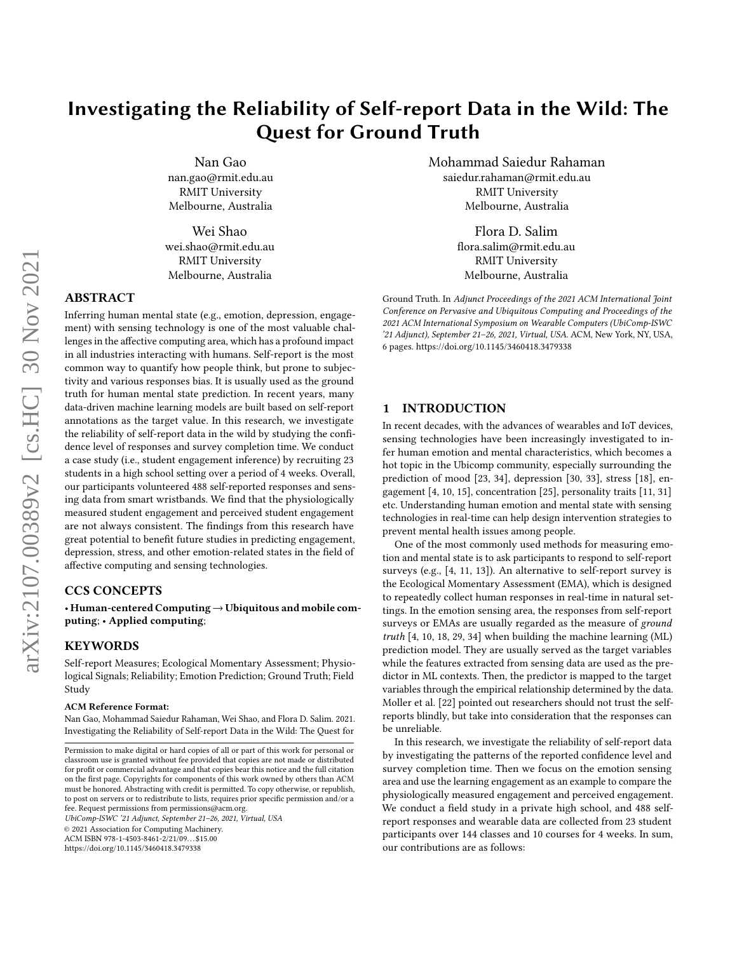# Investigating the Reliability of Self-report Data in the Wild: The Quest for Ground Truth

Nan Gao nan.gao@rmit.edu.au RMIT University Melbourne, Australia

Wei Shao wei.shao@rmit.edu.au RMIT University Melbourne, Australia

# ABSTRACT

Inferring human mental state (e.g., emotion, depression, engagement) with sensing technology is one of the most valuable challenges in the affective computing area, which has a profound impact in all industries interacting with humans. Self-report is the most common way to quantify how people think, but prone to subjectivity and various responses bias. It is usually used as the ground truth for human mental state prediction. In recent years, many data-driven machine learning models are built based on self-report annotations as the target value. In this research, we investigate the reliability of self-report data in the wild by studying the confidence level of responses and survey completion time. We conduct a case study (i.e., student engagement inference) by recruiting 23 students in a high school setting over a period of 4 weeks. Overall, our participants volunteered 488 self-reported responses and sensing data from smart wristbands. We find that the physiologically measured student engagement and perceived student engagement are not always consistent. The findings from this research have great potential to benefit future studies in predicting engagement, depression, stress, and other emotion-related states in the field of affective computing and sensing technologies.

# CCS CONCEPTS

• Human-centered Computing→Ubiquitous and mobile computing; • Applied computing;

# **KEYWORDS**

Self-report Measures; Ecological Momentary Assessment; Physiological Signals; Reliability; Emotion Prediction; Ground Truth; Field Study

#### ACM Reference Format:

Nan Gao, Mohammad Saiedur Rahaman, Wei Shao, and Flora D. Salim. 2021. Investigating the Reliability of Self-report Data in the Wild: The Quest for

UbiComp-ISWC '21 Adjunct, September 21–26, 2021, Virtual, USA

© 2021 Association for Computing Machinery.

ACM ISBN 978-1-4503-8461-2/21/09. . . \$15.00

<https://doi.org/10.1145/3460418.3479338>

Mohammad Saiedur Rahaman saiedur.rahaman@rmit.edu.au RMIT University Melbourne, Australia

> Flora D. Salim flora.salim@rmit.edu.au RMIT University Melbourne, Australia

Ground Truth. In Adjunct Proceedings of the 2021 ACM International Joint Conference on Pervasive and Ubiquitous Computing and Proceedings of the 2021 ACM International Symposium on Wearable Computers (UbiComp-ISWC '21 Adjunct), September 21–26, 2021, Virtual, USA. ACM, New York, NY, USA, [6](#page-5-0) pages.<https://doi.org/10.1145/3460418.3479338>

## 1 INTRODUCTION

In recent decades, with the advances of wearables and IoT devices, sensing technologies have been increasingly investigated to infer human emotion and mental characteristics, which becomes a hot topic in the Ubicomp community, especially surrounding the prediction of mood [\[23,](#page-4-0) [34\]](#page-5-1), depression [\[30,](#page-5-2) [33\]](#page-5-3), stress [\[18\]](#page-4-1), engagement [\[4,](#page-4-2) [10,](#page-4-3) [15\]](#page-4-4), concentration [\[25\]](#page-4-5), personality traits [\[11,](#page-4-6) [31\]](#page-5-4) etc. Understanding human emotion and mental state with sensing technologies in real-time can help design intervention strategies to prevent mental health issues among people.

One of the most commonly used methods for measuring emotion and mental state is to ask participants to respond to self-report surveys (e.g., [\[4,](#page-4-2) [11,](#page-4-6) [13\]](#page-4-7)). An alternative to self-report survey is the Ecological Momentary Assessment (EMA), which is designed to repeatedly collect human responses in real-time in natural settings. In the emotion sensing area, the responses from self-report surveys or EMAs are usually regarded as the measure of ground truth [\[4,](#page-4-2) [10,](#page-4-3) [18,](#page-4-1) [29,](#page-5-5) [34\]](#page-5-1) when building the machine learning (ML) prediction model. They are usually served as the target variables while the features extracted from sensing data are used as the predictor in ML contexts. Then, the predictor is mapped to the target variables through the empirical relationship determined by the data. Moller et al. [\[22\]](#page-4-8) pointed out researchers should not trust the selfreports blindly, but take into consideration that the responses can be unreliable.

In this research, we investigate the reliability of self-report data by investigating the patterns of the reported confidence level and survey completion time. Then we focus on the emotion sensing area and use the learning engagement as an example to compare the physiologically measured engagement and perceived engagement. We conduct a field study in a private high school, and 488 selfreport responses and wearable data are collected from 23 student participants over 144 classes and 10 courses for 4 weeks. In sum, our contributions are as follows:

Permission to make digital or hard copies of all or part of this work for personal or classroom use is granted without fee provided that copies are not made or distributed for profit or commercial advantage and that copies bear this notice and the full citation on the first page. Copyrights for components of this work owned by others than ACM must be honored. Abstracting with credit is permitted. To copy otherwise, or republish, to post on servers or to redistribute to lists, requires prior specific permission and/or a fee. Request permissions from permissions@acm.org.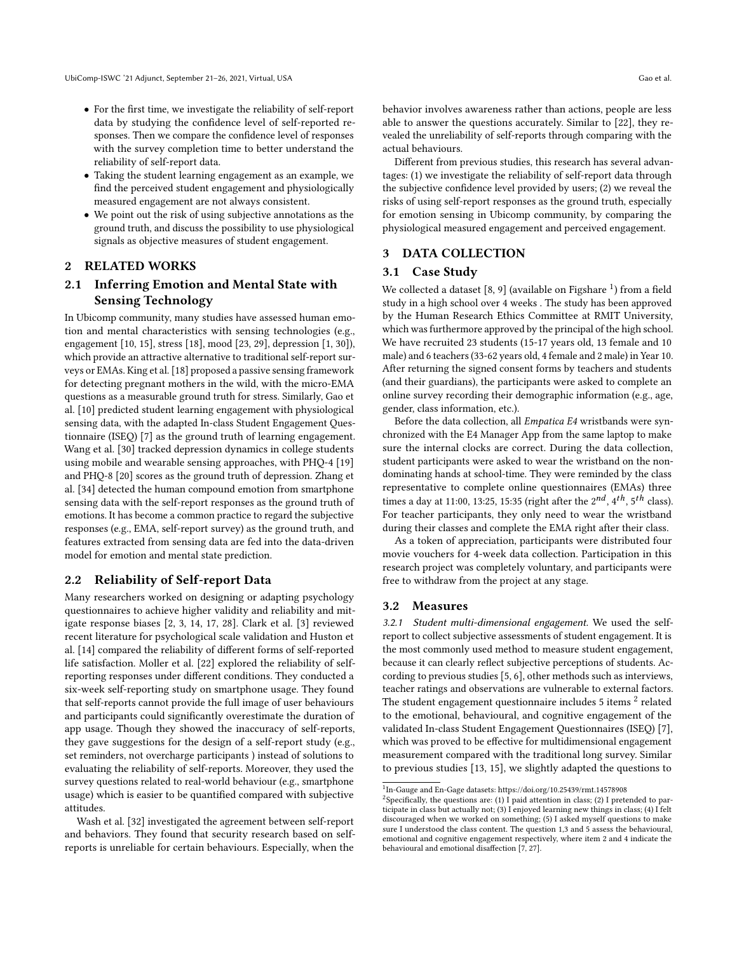- For the first time, we investigate the reliability of self-report data by studying the confidence level of self-reported responses. Then we compare the confidence level of responses with the survey completion time to better understand the reliability of self-report data.
- Taking the student learning engagement as an example, we find the perceived student engagement and physiologically measured engagement are not always consistent.
- We point out the risk of using subjective annotations as the ground truth, and discuss the possibility to use physiological signals as objective measures of student engagement.

# 2 RELATED WORKS

# 2.1 Inferring Emotion and Mental State with Sensing Technology

In Ubicomp community, many studies have assessed human emotion and mental characteristics with sensing technologies (e.g., engagement [\[10,](#page-4-3) [15\]](#page-4-4), stress [\[18\]](#page-4-1), mood [\[23,](#page-4-0) [29\]](#page-5-5), depression [\[1,](#page-4-9) [30\]](#page-5-2)), which provide an attractive alternative to traditional self-report surveys or EMAs. King et al. [\[18\]](#page-4-1) proposed a passive sensing framework for detecting pregnant mothers in the wild, with the micro-EMA questions as a measurable ground truth for stress. Similarly, Gao et al. [\[10\]](#page-4-3) predicted student learning engagement with physiological sensing data, with the adapted In-class Student Engagement Questionnaire (ISEQ) [\[7\]](#page-4-10) as the ground truth of learning engagement. Wang et al. [\[30\]](#page-5-2) tracked depression dynamics in college students using mobile and wearable sensing approaches, with PHQ-4 [\[19\]](#page-4-11) and PHQ-8 [\[20\]](#page-4-12) scores as the ground truth of depression. Zhang et al. [\[34\]](#page-5-1) detected the human compound emotion from smartphone sensing data with the self-report responses as the ground truth of emotions. It has become a common practice to regard the subjective responses (e.g., EMA, self-report survey) as the ground truth, and features extracted from sensing data are fed into the data-driven model for emotion and mental state prediction.

## 2.2 Reliability of Self-report Data

Many researchers worked on designing or adapting psychology questionnaires to achieve higher validity and reliability and mitigate response biases [\[2,](#page-4-13) [3,](#page-4-14) [14,](#page-4-15) [17,](#page-4-16) [28\]](#page-5-6). Clark et al. [\[3\]](#page-4-14) reviewed recent literature for psychological scale validation and Huston et al. [\[14\]](#page-4-15) compared the reliability of different forms of self-reported life satisfaction. Moller et al. [\[22\]](#page-4-8) explored the reliability of selfreporting responses under different conditions. They conducted a six-week self-reporting study on smartphone usage. They found that self-reports cannot provide the full image of user behaviours and participants could significantly overestimate the duration of app usage. Though they showed the inaccuracy of self-reports, they gave suggestions for the design of a self-report study (e.g., set reminders, not overcharge participants ) instead of solutions to evaluating the reliability of self-reports. Moreover, they used the survey questions related to real-world behaviour (e.g., smartphone usage) which is easier to be quantified compared with subjective attitudes.

Wash et al. [\[32\]](#page-5-7) investigated the agreement between self-report and behaviors. They found that security research based on selfreports is unreliable for certain behaviours. Especially, when the

behavior involves awareness rather than actions, people are less able to answer the questions accurately. Similar to [\[22\]](#page-4-8), they revealed the unreliability of self-reports through comparing with the actual behaviours.

Different from previous studies, this research has several advantages: (1) we investigate the reliability of self-report data through the subjective confidence level provided by users; (2) we reveal the risks of using self-report responses as the ground truth, especially for emotion sensing in Ubicomp community, by comparing the physiological measured engagement and perceived engagement.

# 3 DATA COLLECTION

#### 3.1 Case Study

We collected a dataset  $[8, 9]$  $[8, 9]$  $[8, 9]$  (available on Figshare  $^1$  $^1$ ) from a field study in a high school over 4 weeks . The study has been approved by the Human Research Ethics Committee at RMIT University, which was furthermore approved by the principal of the high school. We have recruited 23 students (15-17 years old, 13 female and 10 male) and 6 teachers (33-62 years old, 4 female and 2 male) in Year 10. After returning the signed consent forms by teachers and students (and their guardians), the participants were asked to complete an online survey recording their demographic information (e.g., age, gender, class information, etc.).

Before the data collection, all Empatica E4 wristbands were synchronized with the E4 Manager App from the same laptop to make sure the internal clocks are correct. During the data collection, student participants were asked to wear the wristband on the nondominating hands at school-time. They were reminded by the class representative to complete online questionnaires (EMAs) three times a day at 11:00, 13:25, 15:35 (right after the  $2^{nd}$ ,  $4^{th}$ ,  $5^{th}$  class). For teacher participants, they only need to wear the wristband during their classes and complete the EMA right after their class.

As a token of appreciation, participants were distributed four movie vouchers for 4-week data collection. Participation in this research project was completely voluntary, and participants were free to withdraw from the project at any stage.

#### 3.2 Measures

3.2.1 Student multi-dimensional engagement. We used the selfreport to collect subjective assessments of student engagement. It is the most commonly used method to measure student engagement, because it can clearly reflect subjective perceptions of students. According to previous studies [\[5,](#page-4-19) [6\]](#page-4-20), other methods such as interviews, teacher ratings and observations are vulnerable to external factors. The student engagement questionnaire includes 5 items  $^2$  $^2$  related to the emotional, behavioural, and cognitive engagement of the validated In-class Student Engagement Questionnaires (ISEQ) [\[7\]](#page-4-10), which was proved to be effective for multidimensional engagement measurement compared with the traditional long survey. Similar to previous studies [\[13,](#page-4-7) [15\]](#page-4-4), we slightly adapted the questions to

<span id="page-1-0"></span><sup>1</sup> In-Gauge and En-Gage datasets:<https://doi.org/10.25439/rmt.14578908>

<span id="page-1-1"></span><sup>&</sup>lt;sup>2</sup> Specifically, the questions are: (1) I paid attention in class; (2) I pretended to participate in class but actually not; (3) I enjoyed learning new things in class; (4) I felt discouraged when we worked on something; (5) I asked myself questions to make sure I understood the class content. The question 1,3 and 5 assess the behavioural, emotional and cognitive engagement respectively, where item 2 and 4 indicate the behavioural and emotional disaffection [\[7,](#page-4-10) [27\]](#page-5-8).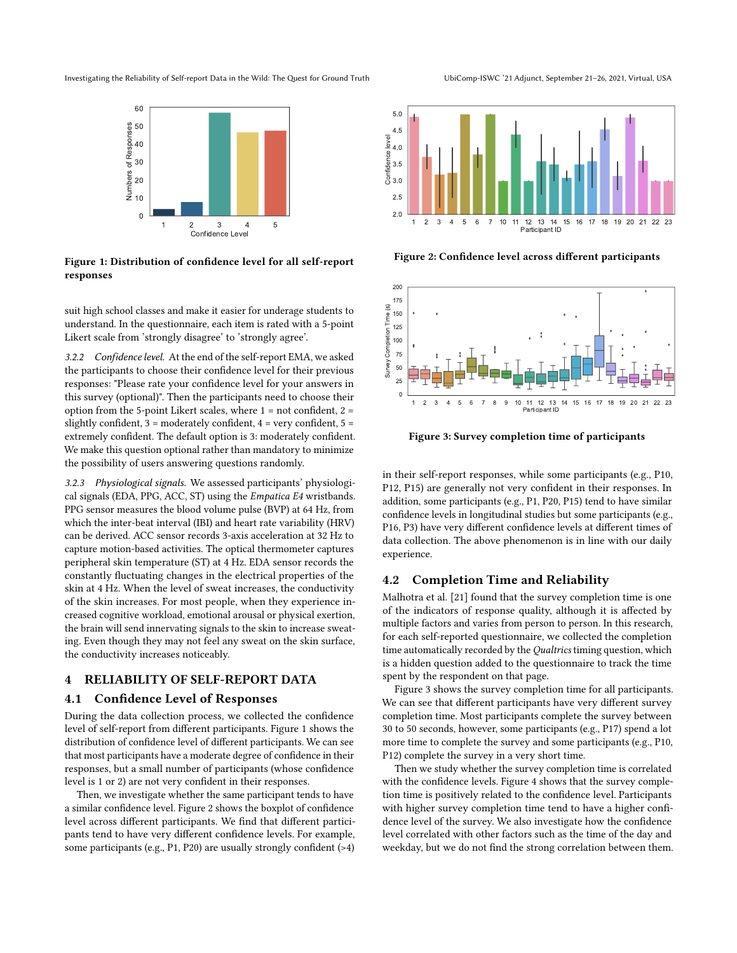<span id="page-2-0"></span>Investigating the Reliability of Self-report Data in the Wild: The Quest for Ground Truth UbiComp-ISWC '21 Adjunct, September 21–26, 2021, Virtual, USA



Figure 1: Distribution of confidence level for all self-report responses

suit high school classes and make it easier for underage students to understand. In the questionnaire, each item is rated with a 5-point Likert scale from 'strongly disagree' to 'strongly agree'.

3.2.2 Confidence level. At the end of the self-report EMA, we asked the participants to choose their confidence level for their previous responses: "Please rate your confidence level for your answers in this survey (optional)". Then the participants need to choose their option from the 5-point Likert scales, where 1 = not confident, 2 = slightly confident,  $3 =$  moderately confident,  $4 =$  very confident,  $5 =$ extremely confident. The default option is 3: moderately confident. We make this question optional rather than mandatory to minimize the possibility of users answering questions randomly.

3.2.3 Physiological signals. We assessed participants' physiological signals (EDA, PPG, ACC, ST) using the Empatica E4 wristbands. PPG sensor measures the blood volume pulse (BVP) at 64 Hz, from which the inter-beat interval (IBI) and heart rate variability (HRV) can be derived. ACC sensor records 3-axis acceleration at 32 Hz to capture motion-based activities. The optical thermometer captures peripheral skin temperature (ST) at 4 Hz. EDA sensor records the constantly fluctuating changes in the electrical properties of the skin at 4 Hz. When the level of sweat increases, the conductivity of the skin increases. For most people, when they experience increased cognitive workload, emotional arousal or physical exertion, the brain will send innervating signals to the skin to increase sweating. Even though they may not feel any sweat on the skin surface, the conductivity increases noticeably.

# 4 RELIABILITY OF SELF-REPORT DATA

## 4.1 Confidence Level of Responses

During the data collection process, we collected the confidence level of self-report from different participants. Figure [1](#page-2-0) shows the distribution of confidence level of different participants. We can see that most participants have a moderate degree of confidence in their responses, but a small number of participants (whose confidence level is 1 or 2) are not very confident in their responses.

Then, we investigate whether the same participant tends to have a similar confidence level. Figure [2](#page-2-1) shows the boxplot of confidence level across different participants. We find that different participants tend to have very different confidence levels. For example, some participants (e.g., P1, P20) are usually strongly confident (>4)

<span id="page-2-1"></span>

Figure 2: Confidence level across different participants

<span id="page-2-2"></span>

Figure 3: Survey completion time of participants

in their self-report responses, while some participants (e.g., P10, P12, P15) are generally not very confident in their responses. In addition, some participants (e.g., P1, P20, P15) tend to have similar confidence levels in longitudinal studies but some participants (e.g., P16, P3) have very different confidence levels at different times of data collection. The above phenomenon is in line with our daily experience.

# 4.2 Completion Time and Reliability

Malhotra et al. [\[21\]](#page-4-21) found that the survey completion time is one of the indicators of response quality, although it is affected by multiple factors and varies from person to person. In this research, for each self-reported questionnaire, we collected the completion time automatically recorded by the Qualtrics timing question, which is a hidden question added to the questionnaire to track the time spent by the respondent on that page.

Figure [3](#page-2-2) shows the survey completion time for all participants. We can see that different participants have very different survey completion time. Most participants complete the survey between 30 to 50 seconds, however, some participants (e.g., P17) spend a lot more time to complete the survey and some participants (e.g., P10, P12) complete the survey in a very short time.

Then we study whether the survey completion time is correlated with the confidence levels. Figure [4](#page-3-0) shows that the survey completion time is positively related to the confidence level. Participants with higher survey completion time tend to have a higher confidence level of the survey. We also investigate how the confidence level correlated with other factors such as the time of the day and weekday, but we do not find the strong correlation between them.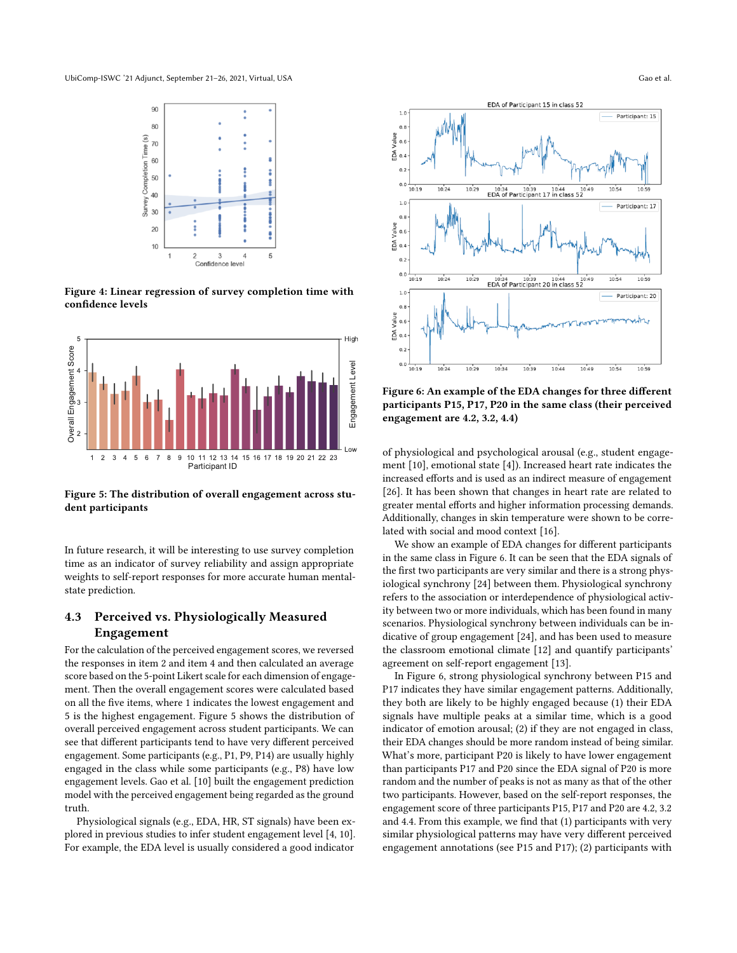<span id="page-3-0"></span>

Figure 4: Linear regression of survey completion time with confidence levels

<span id="page-3-1"></span>

Figure 5: The distribution of overall engagement across student participants

In future research, it will be interesting to use survey completion time as an indicator of survey reliability and assign appropriate weights to self-report responses for more accurate human mentalstate prediction.

# 4.3 Perceived vs. Physiologically Measured Engagement

For the calculation of the perceived engagement scores, we reversed the responses in item 2 and item 4 and then calculated an average score based on the 5-point Likert scale for each dimension of engagement. Then the overall engagement scores were calculated based on all the five items, where 1 indicates the lowest engagement and 5 is the highest engagement. Figure [5](#page-3-1) shows the distribution of overall perceived engagement across student participants. We can see that different participants tend to have very different perceived engagement. Some participants (e.g., P1, P9, P14) are usually highly engaged in the class while some participants (e.g., P8) have low engagement levels. Gao et al. [\[10\]](#page-4-3) built the engagement prediction model with the perceived engagement being regarded as the ground truth.

Physiological signals (e.g., EDA, HR, ST signals) have been explored in previous studies to infer student engagement level [\[4,](#page-4-2) [10\]](#page-4-3). For example, the EDA level is usually considered a good indicator

<span id="page-3-2"></span>

Figure 6: An example of the EDA changes for three different participants P15, P17, P20 in the same class (their perceived engagement are 4.2, 3.2, 4.4)

of physiological and psychological arousal (e.g., student engagement [\[10\]](#page-4-3), emotional state [\[4\]](#page-4-2)). Increased heart rate indicates the increased efforts and is used as an indirect measure of engagement [\[26\]](#page-5-9). It has been shown that changes in heart rate are related to greater mental efforts and higher information processing demands. Additionally, changes in skin temperature were shown to be correlated with social and mood context [\[16\]](#page-4-22).

We show an example of EDA changes for different participants in the same class in Figure [6.](#page-3-2) It can be seen that the EDA signals of the first two participants are very similar and there is a strong physiological synchrony [\[24\]](#page-4-23) between them. Physiological synchrony refers to the association or interdependence of physiological activity between two or more individuals, which has been found in many scenarios. Physiological synchrony between individuals can be indicative of group engagement [\[24\]](#page-4-23), and has been used to measure the classroom emotional climate [\[12\]](#page-4-24) and quantify participants' agreement on self-report engagement [\[13\]](#page-4-7).

In Figure [6,](#page-3-2) strong physiological synchrony between P15 and P17 indicates they have similar engagement patterns. Additionally, they both are likely to be highly engaged because (1) their EDA signals have multiple peaks at a similar time, which is a good indicator of emotion arousal; (2) if they are not engaged in class, their EDA changes should be more random instead of being similar. What's more, participant P20 is likely to have lower engagement than participants P17 and P20 since the EDA signal of P20 is more random and the number of peaks is not as many as that of the other two participants. However, based on the self-report responses, the engagement score of three participants P15, P17 and P20 are 4.2, 3.2 and 4.4. From this example, we find that (1) participants with very similar physiological patterns may have very different perceived engagement annotations (see P15 and P17); (2) participants with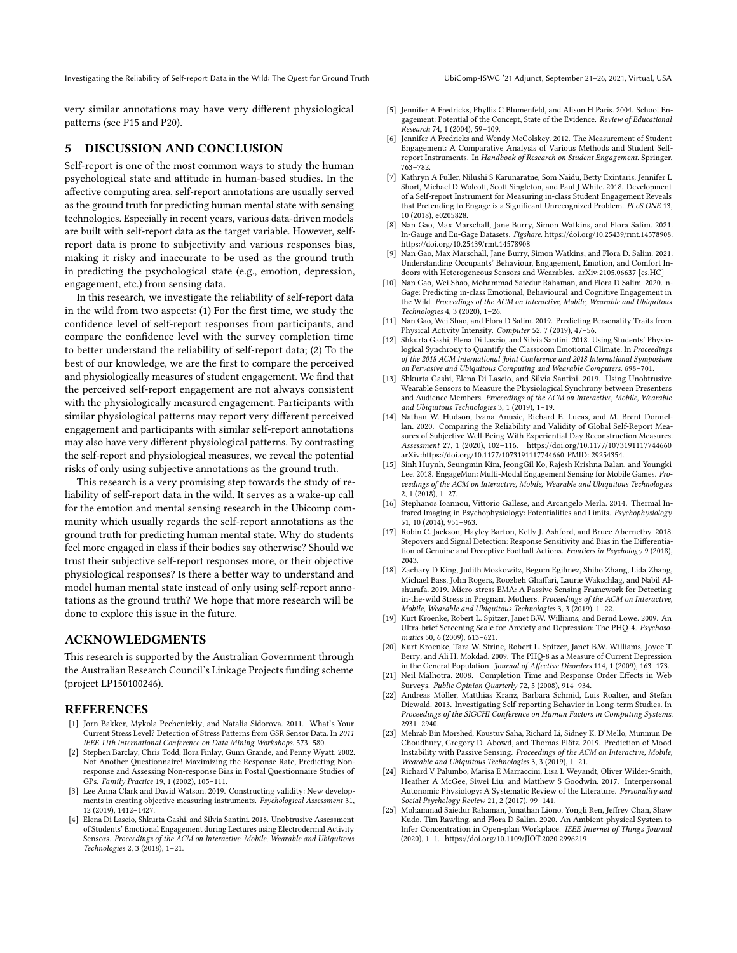Investigating the Reliability of Self-report Data in the Wild: The Quest for Ground Truth UbiComp-ISWC '21 Adjunct, September 21–26, 2021, Virtual, USA

very similar annotations may have very different physiological patterns (see P15 and P20).

# 5 DISCUSSION AND CONCLUSION

Self-report is one of the most common ways to study the human psychological state and attitude in human-based studies. In the affective computing area, self-report annotations are usually served as the ground truth for predicting human mental state with sensing technologies. Especially in recent years, various data-driven models are built with self-report data as the target variable. However, selfreport data is prone to subjectivity and various responses bias, making it risky and inaccurate to be used as the ground truth in predicting the psychological state (e.g., emotion, depression, engagement, etc.) from sensing data.

In this research, we investigate the reliability of self-report data in the wild from two aspects: (1) For the first time, we study the confidence level of self-report responses from participants, and compare the confidence level with the survey completion time to better understand the reliability of self-report data; (2) To the best of our knowledge, we are the first to compare the perceived and physiologically measures of student engagement. We find that the perceived self-report engagement are not always consistent with the physiologically measured engagement. Participants with similar physiological patterns may report very different perceived engagement and participants with similar self-report annotations may also have very different physiological patterns. By contrasting the self-report and physiological measures, we reveal the potential risks of only using subjective annotations as the ground truth.

This research is a very promising step towards the study of reliability of self-report data in the wild. It serves as a wake-up call for the emotion and mental sensing research in the Ubicomp community which usually regards the self-report annotations as the ground truth for predicting human mental state. Why do students feel more engaged in class if their bodies say otherwise? Should we trust their subjective self-report responses more, or their objective physiological responses? Is there a better way to understand and model human mental state instead of only using self-report annotations as the ground truth? We hope that more research will be done to explore this issue in the future.

## ACKNOWLEDGMENTS

This research is supported by the Australian Government through the Australian Research Council's Linkage Projects funding scheme (project LP150100246).

#### REFERENCES

- <span id="page-4-9"></span>[1] Jorn Bakker, Mykola Pechenizkiy, and Natalia Sidorova. 2011. What's Your Current Stress Level? Detection of Stress Patterns from GSR Sensor Data. In 2011 IEEE 11th International Conference on Data Mining Workshops. 573–580.
- <span id="page-4-13"></span>[2] Stephen Barclay, Chris Todd, Ilora Finlay, Gunn Grande, and Penny Wyatt. 2002. Not Another Questionnaire! Maximizing the Response Rate, Predicting Nonresponse and Assessing Non-response Bias in Postal Questionnaire Studies of GPs. Family Practice 19, 1 (2002), 105–111.
- <span id="page-4-14"></span>[3] Lee Anna Clark and David Watson. 2019. Constructing validity: New developments in creating objective measuring instruments. Psychological Assessment 31, 12 (2019), 1412–1427.
- <span id="page-4-2"></span>[4] Elena Di Lascio, Shkurta Gashi, and Silvia Santini. 2018. Unobtrusive Assessment of Students' Emotional Engagement during Lectures using Electrodermal Activity Sensors. Proceedings of the ACM on Interactive, Mobile, Wearable and Ubiquitous Technologies 2, 3 (2018), 1–21.
- <span id="page-4-19"></span>[5] Jennifer A Fredricks, Phyllis C Blumenfeld, and Alison H Paris. 2004. School Engagement: Potential of the Concept, State of the Evidence. Review of Educational Research 74, 1 (2004), 59–109.
- <span id="page-4-20"></span>Jennifer A Fredricks and Wendy McColskey. 2012. The Measurement of Student Engagement: A Comparative Analysis of Various Methods and Student Selfreport Instruments. In Handbook of Research on Student Engagement. Springer, 763–782.
- <span id="page-4-10"></span>[7] Kathryn A Fuller, Nilushi S Karunaratne, Som Naidu, Betty Exintaris, Jennifer L Short, Michael D Wolcott, Scott Singleton, and Paul J White. 2018. Development of a Self-report Instrument for Measuring in-class Student Engagement Reveals that Pretending to Engage is a Significant Unrecognized Problem. PLoS ONE 13, 10 (2018), e0205828.
- <span id="page-4-17"></span>[8] Nan Gao, Max Marschall, Jane Burry, Simon Watkins, and Flora Salim. 2021. In-Gauge and En-Gage Datasets. Figshare. [https://doi.org/10.25439/rmt.14578908.](https://doi.org/10.25439/rmt.14578908) <https://doi.org/10.25439/rmt.14578908>
- <span id="page-4-18"></span>Nan Gao, Max Marschall, Jane Burry, Simon Watkins, and Flora D. Salim. 2021. Understanding Occupants' Behaviour, Engagement, Emotion, and Comfort Indoors with Heterogeneous Sensors and Wearables. arXiv[:2105.06637](https://arxiv.org/abs/2105.06637) [cs.HC]
- <span id="page-4-3"></span>[10] Nan Gao, Wei Shao, Mohammad Saiedur Rahaman, and Flora D Salim. 2020. n-Gage: Predicting in-class Emotional, Behavioural and Cognitive Engagement in the Wild. Proceedings of the ACM on Interactive, Mobile, Wearable and Ubiquitous Technologies 4, 3 (2020), 1–26.
- <span id="page-4-6"></span>[11] Nan Gao, Wei Shao, and Flora D Salim. 2019. Predicting Personality Traits from Physical Activity Intensity. Computer 52, 7 (2019), 47–56.
- <span id="page-4-24"></span>[12] Shkurta Gashi, Elena Di Lascio, and Silvia Santini. 2018. Using Students' Physiological Synchrony to Quantify the Classroom Emotional Climate. In Proceedings of the 2018 ACM International Joint Conference and 2018 International Symposium on Pervasive and Ubiquitous Computing and Wearable Computers. 698–701.
- <span id="page-4-7"></span>[13] Shkurta Gashi, Elena Di Lascio, and Silvia Santini. 2019. Using Unobtrusive Wearable Sensors to Measure the Physiological Synchrony between Presenters and Audience Members. Proceedings of the ACM on Interactive, Mobile, Wearable and Ubiquitous Technologies 3, 1 (2019), 1–19.
- <span id="page-4-15"></span>[14] Nathan W. Hudson, Ivana Anusic, Richard E. Lucas, and M. Brent Donnellan. 2020. Comparing the Reliability and Validity of Global Self-Report Measures of Subjective Well-Being With Experiential Day Reconstruction Measures. Assessment 27, 1 (2020), 102–116.<https://doi.org/10.1177/1073191117744660> arXiv[:https://doi.org/10.1177/1073191117744660](https://arxiv.org/abs/https://doi.org/10.1177/1073191117744660) PMID: 29254354.
- <span id="page-4-4"></span>[15] Sinh Huynh, Seungmin Kim, JeongGil Ko, Rajesh Krishna Balan, and Youngki Lee. 2018. EngageMon: Multi-Modal Engagement Sensing for Mobile Games. Proceedings of the ACM on Interactive, Mobile, Wearable and Ubiquitous Technologies 2, 1 (2018), 1–27.
- <span id="page-4-22"></span>[16] Stephanos Ioannou, Vittorio Gallese, and Arcangelo Merla. 2014. Thermal Infrared Imaging in Psychophysiology: Potentialities and Limits. Psychophysiology 51, 10 (2014), 951–963.
- <span id="page-4-16"></span>[17] Robin C. Jackson, Hayley Barton, Kelly J. Ashford, and Bruce Abernethy. 2018. Stepovers and Signal Detection: Response Sensitivity and Bias in the Differentiation of Genuine and Deceptive Football Actions. Frontiers in Psychology 9 (2018), 2043.
- <span id="page-4-1"></span>[18] Zachary D King, Judith Moskowitz, Begum Egilmez, Shibo Zhang, Lida Zhang, Michael Bass, John Rogers, Roozbeh Ghaffari, Laurie Wakschlag, and Nabil Alshurafa. 2019. Micro-stress EMA: A Passive Sensing Framework for Detecting in-the-wild Stress in Pregnant Mothers. Proceedings of the ACM on Interactive, Mobile, Wearable and Ubiquitous Technologies 3, 3 (2019), 1–22.
- <span id="page-4-11"></span>[19] Kurt Kroenke, Robert L. Spitzer, Janet B.W. Williams, and Bernd Löwe. 2009. An Ultra-brief Screening Scale for Anxiety and Depression: The PHQ-4. Psychosomatics 50, 6 (2009), 613–621.
- <span id="page-4-12"></span>[20] Kurt Kroenke, Tara W. Strine, Robert L. Spitzer, Janet B.W. Williams, Joyce T. Berry, and Ali H. Mokdad. 2009. The PHQ-8 as a Measure of Current Depression in the General Population. Journal of Affective Disorders 114, 1 (2009), 163–173.
- <span id="page-4-21"></span>[21] Neil Malhotra. 2008. Completion Time and Response Order Effects in Web Surveys. Public Opinion Quarterly 72, 5 (2008), 914–934.
- <span id="page-4-8"></span>[22] Andreas Möller, Matthias Kranz, Barbara Schmid, Luis Roalter, and Stefan Diewald. 2013. Investigating Self-reporting Behavior in Long-term Studies. In Proceedings of the SIGCHI Conference on Human Factors in Computing Systems. 2931–2940.
- <span id="page-4-0"></span>[23] Mehrab Bin Morshed, Koustuv Saha, Richard Li, Sidney K. D'Mello, Munmun De Choudhury, Gregory D. Abowd, and Thomas Plötz. 2019. Prediction of Mood Instability with Passive Sensing. Proceedings of the ACM on Interactive, Mobile, Wearable and Ubiquitous Technologies 3, 3 (2019), 1–21.
- <span id="page-4-23"></span>[24] Richard V Palumbo, Marisa E Marraccini, Lisa L Weyandt, Oliver Wilder-Smith, Heather A McGee, Siwei Liu, and Matthew S Goodwin. 2017. Interpersonal Autonomic Physiology: A Systematic Review of the Literature. Personality and Social Psychology Review 21, 2 (2017), 99–141.
- <span id="page-4-5"></span>[25] Mohammad Saiedur Rahaman, Jonathan Liono, Yongli Ren, Jeffrey Chan, Shaw Kudo, Tim Rawling, and Flora D Salim. 2020. An Ambient-physical System to Infer Concentration in Open-plan Workplace. IEEE Internet of Things Journal (2020), 1–1.<https://doi.org/10.1109/JIOT.2020.2996219>